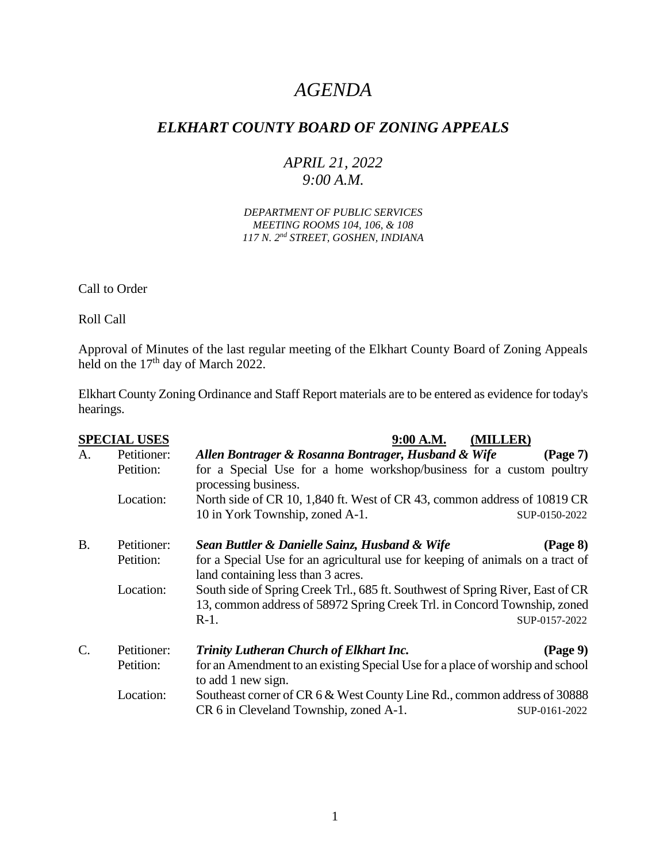# *AGENDA*

## *ELKHART COUNTY BOARD OF ZONING APPEALS*

## *APRIL 21, 2022 9:00 A.M.*

*DEPARTMENT OF PUBLIC SERVICES MEETING ROOMS 104, 106, & 108 117 N. 2nd STREET, GOSHEN, INDIANA*

Call to Order

Roll Call

Approval of Minutes of the last regular meeting of the Elkhart County Board of Zoning Appeals held on the 17<sup>th</sup> day of March 2022.

Elkhart County Zoning Ordinance and Staff Report materials are to be entered as evidence for today's hearings.

|           | <b>SPECIAL USES</b> | (MILLER)<br>9:00 A.M.                                                                                                |
|-----------|---------------------|----------------------------------------------------------------------------------------------------------------------|
| A.        | Petitioner:         | Allen Bontrager & Rosanna Bontrager, Husband & Wife<br>$(\text{Page } 7)$                                            |
|           | Petition:           | for a Special Use for a home workshop/business for a custom poultry<br>processing business.                          |
|           | Location:           | North side of CR 10, 1,840 ft. West of CR 43, common address of 10819 CR                                             |
|           |                     | 10 in York Township, zoned A-1.<br>SUP-0150-2022                                                                     |
| <b>B.</b> | Petitioner:         | Sean Buttler & Danielle Sainz, Husband & Wife<br>(Page 8)                                                            |
|           | Petition:           | for a Special Use for an agricultural use for keeping of animals on a tract of<br>land containing less than 3 acres. |
|           | Location:           | South side of Spring Creek Trl., 685 ft. Southwest of Spring River, East of CR                                       |
|           |                     | 13, common address of 58972 Spring Creek Trl. in Concord Township, zoned                                             |
|           |                     | $R-1$ .<br>SUP-0157-2022                                                                                             |
| $C$ .     | Petitioner:         | Trinity Lutheran Church of Elkhart Inc.<br>$(\text{Page } 9)$                                                        |
|           | Petition:           | for an Amendment to an existing Special Use for a place of worship and school<br>to add 1 new sign.                  |
|           | Location:           | Southeast corner of CR 6 & West County Line Rd., common address of 30888                                             |
|           |                     | CR 6 in Cleveland Township, zoned A-1.<br>SUP-0161-2022                                                              |